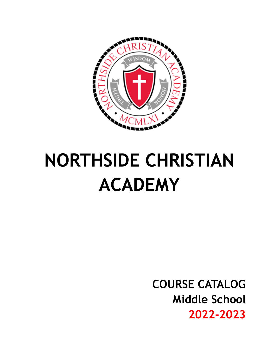

# **NORTHSIDE CHRISTIAN ACADEMY**

**COURSE CATALOG Middle School 2022-2023**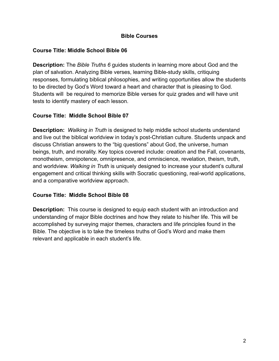#### **Bible Courses**

#### **Course Title: Middle School Bible 06**

**Description:** The *Bible Truths 6* guides students in learning more about God and the plan of salvation. Analyzing Bible verses, learning Bible-study skills, critiquing responses, formulating biblical philosophies, and writing opportunities allow the students to be directed by God's Word toward a heart and character that is pleasing to God. Students will be required to memorize Bible verses for quiz grades and will have unit tests to identify mastery of each lesson.

## **Course Title: Middle School Bible 07**

**Description:** *Walking in Truth* is designed to help middle school students understand and live out the biblical worldview in today's post-Christian culture. Students unpack and discuss Christian answers to the "big questions" about God, the universe, human beings, truth, and morality. Key topics covered include: creation and the Fall, covenants, monotheism, omnipotence, omnipresence, and omniscience, revelation, theism, truth, and worldview. *Walking in Truth* is uniquely designed to increase your student's cultural engagement and critical thinking skills with Socratic questioning, real-world applications, and a comparative worldview approach.

# **Course Title: Middle School Bible 08**

**Description:** This course is designed to equip each student with an introduction and understanding of major Bible doctrines and how they relate to his/her life. This will be accomplished by surveying major themes, characters and life principles found in the Bible. The objective is to take the timeless truths of God's Word and make them relevant and applicable in each student's life.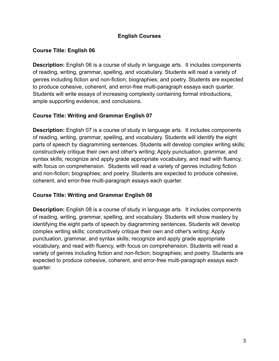# **English Courses**

## **Course Title: English 06**

**Description:** English 06 is a course of study in language arts. It includes components of reading, writing, grammar, spelling, and vocabulary. Students will read a variety of genres including fiction and non-fiction; biographies; and poetry. Students are expected to produce cohesive, coherent, and error-free multi-paragraph essays each quarter. Students will write essays of increasing complexity containing formal introductions, ample supporting evidence, and conclusions.

## **Course Title: Writing and Grammar English 07**

**Description:** English 07 is a course of study in language arts. It includes components of reading, writing, grammar, spelling, and vocabulary. Students will identify the eight parts of speech by diagramming sentences. Students will develop complex writing skills; constructively critique their own and other's writing; Apply punctuation, grammar, and syntax skills; recognize and apply grade appropriate vocabulary, and read with fluency, with focus on comprehension. Students will read a variety of genres including fiction and non-fiction; biographies; and poetry. Students are expected to produce cohesive, coherent, and error-free multi-paragraph essays each quarter.

# **Course Title: Writing and Grammar English 08**

**Description:** English 08 is a course of study in language arts. It includes components of reading, writing, grammar, spelling, and vocabulary. Students will show mastery by identifying the eight parts of speech by diagramming sentences. Students will develop complex writing skills; constructively critique their own and other's writing; Apply punctuation, grammar, and syntax skills; recognize and apply grade appropriate vocabulary, and read with fluency, with focus on comprehension. Students will read a variety of genres including fiction and non-fiction; biographies; and poetry. Students are expected to produce cohesive, coherent, and error-free multi-paragraph essays each quarter.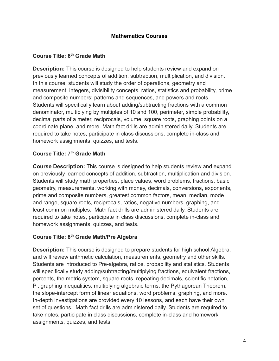#### **Mathematics Courses**

#### **Course Title: 6th Grade Math**

**Description:** This course is designed to help students review and expand on previously learned concepts of addition, subtraction, multiplication, and division. In this course, students will study the order of operations, geometry and measurement, integers, divisibility concepts, ratios, statistics and probability, prime and composite numbers; patterns and sequences, and powers and roots. Students will specifically learn about adding/subtracting fractions with a common denominator, multiplying by multiples of 10 and 100, perimeter, simple probability, decimal parts of a meter, reciprocals, volume, square roots, graphing points on a coordinate plane, and more. Math fact drills are administered daily. Students are required to take notes, participate in class discussions, complete in-class and homework assignments, quizzes, and tests.

#### **Course Title: 7th Grade Math**

**Course Description:** This course is designed to help students review and expand on previously learned concepts of addition, subtraction, multiplication and division. Students will study math properties, place values, word problems, fractions, basic geometry, measurements, working with money, decimals, conversions, exponents, prime and composite numbers, greatest common factors, mean, median, mode and range, square roots, reciprocals, ratios, negative numbers, graphing, and least common multiples. Math fact drills are administered daily. Students are required to take notes, participate in class discussions, complete in-class and homework assignments, quizzes, and tests.

#### **Course Title: 8th Grade Math/Pre Algebra**

**Description:** This course is designed to prepare students for high school Algebra, and will review arithmetic calculation, measurements, geometry and other skills. Students are introduced to Pre-algebra, ratios, probability and statistics. Students will specifically study adding/subtracting/multiplying fractions, equivalent fractions, percents, the metric system, square roots, repeating decimals, scientific notation, Pi, graphing inequalities, multiplying algebraic terms, the Pythagorean Theorem, the slope-intercept form of linear equations, word problems, graphing, and more. In-depth investigations are provided every 10 lessons, and each have their own set of questions. Math fact drills are administered daily. Students are required to take notes, participate in class discussions, complete in-class and homework assignments, quizzes, and tests.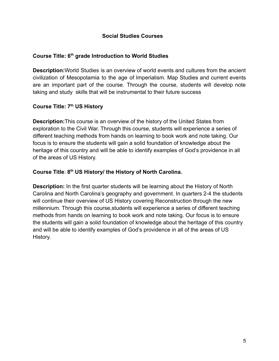#### **Social Studies Courses**

#### **Course Title: 6th grade Introduction to World Studies**

**Description:**World Studies is an overview of world events and cultures from the ancient civilization of Mesopotamia to the age of Imperialism. Map Studies and current events are an important part of the course. Through the course, students will develop note taking and study skills that will be instrumental to their future success

#### **Course Title: 7 th US History**

**Description:**This course is an overview of the history of the United States from exploration to the Civil War. Through this course, students will experience a series of different teaching methods from hands on learning to book work and note taking. Our focus is to ensure the students will gain a solid foundation of knowledge about the heritage of this country and will be able to identify examples of God's providence in all of the areas of US History.

#### **Course Title**: **8 th US History/ the History of North Carolina.**

**Description:** In the first quarter students will be learning about the History of North Carolina and North Carolina's geography and government. In quarters 2-4 the students will continue their overview of US History covering Reconstruction through the new millennium. Through this course,students will experience a series of different teaching methods from hands on learning to book work and note taking. Our focus is to ensure the students will gain a solid foundation of knowledge about the heritage of this country and will be able to identify examples of God's providence in all of the areas of US History.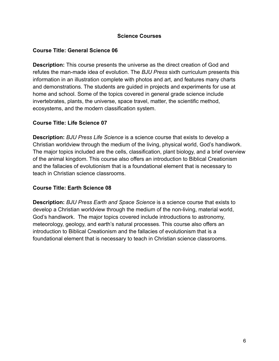## **Science Courses**

## **Course Title: General Science 06**

**Description:** This course presents the universe as the direct creation of God and refutes the man-made idea of evolution. The *BJU Press* sixth curriculum presents this information in an illustration complete with photos and art, and features many charts and demonstrations. The students are guided in projects and experiments for use at home and school. Some of the topics covered in general grade science include invertebrates, plants, the universe, space travel, matter, the scientific method, ecosystems, and the modern classification system.

## **Course Title: Life Science 07**

**Description:** *BJU Press Life Science* is a science course that exists to develop a Christian worldview through the medium of the living, physical world, God's handiwork. The major topics included are the cells, classification, plant biology, and a brief overview of the animal kingdom. This course also offers an introduction to Biblical Creationism and the fallacies of evolutionism that is a foundational element that is necessary to teach in Christian science classrooms.

#### **Course Title: Earth Science 08**

**Description:** *BJU Press Earth and Space Science* is a science course that exists to develop a Christian worldview through the medium of the non-living, material world, God's handiwork. The major topics covered include introductions to astronomy, meteorology, geology, and earth's natural processes. This course also offers an introduction to Biblical Creationism and the fallacies of evolutionism that is a foundational element that is necessary to teach in Christian science classrooms.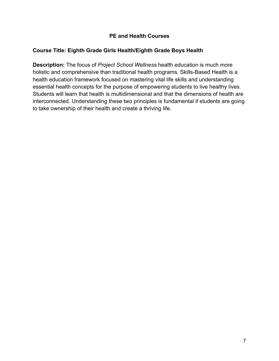## **PE and Health Courses**

## **Course Title: Eighth Grade Girls Health/Eighth Grade Boys Health**

**Description:** The focus of *Project School Wellness* health education is much more holistic and comprehensive than traditional health programs. Skills-Based Health is a health education framework focused on mastering vital life skills and understanding essential health concepts for the purpose of empowering students to live healthy lives. Students will learn that health is multidimensional and that the dimensions of health are interconnected. Understanding these two principles is fundamental if students are going to take ownership of their health and create a thriving life.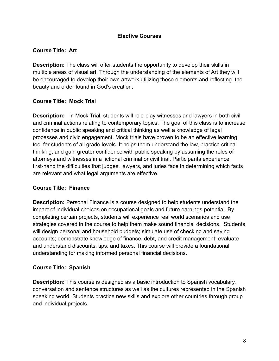#### **Elective Courses**

#### **Course Title: Art**

**Description:** The class will offer students the opportunity to develop their skills in multiple areas of visual art. Through the understanding of the elements of Art they will be encouraged to develop their own artwork utilizing these elements and reflecting the beauty and order found in God's creation.

#### **Course Title: Mock Trial**

**Description:** In Mock Trial, students will role-play witnesses and lawyers in both civil and criminal actions relating to contemporary topics. The goal of this class is to increase confidence in public speaking and critical thinking as well a knowledge of legal processes and civic engagement. Mock trials have proven to be an effective learning tool for students of all grade levels. It helps them understand the law, practice critical thinking, and gain greater confidence with public speaking by assuming the roles of attorneys and witnesses in a fictional criminal or civil trial. Participants experience first-hand the difficulties that judges, lawyers, and juries face in determining which facts are relevant and what legal arguments are effective

#### **Course Title: Finance**

**Description:** Personal Finance is a course designed to help students understand the impact of individual choices on occupational goals and future earnings potential. By completing certain projects, students will experience real world scenarios and use strategies covered in the course to help them make sound financial decisions. Students will design personal and household budgets; simulate use of checking and saving accounts; demonstrate knowledge of finance, debt, and credit management; evaluate and understand discounts, tips, and taxes. This course will provide a foundational understanding for making informed personal financial decisions.

#### **Course Title: Spanish**

**Description:** This course is designed as a basic introduction to Spanish vocabulary, conversation and sentence structures as well as the cultures represented in the Spanish speaking world. Students practice new skills and explore other countries through group and individual projects.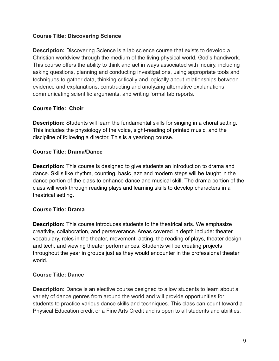## **Course Title: Discovering Science**

**Description:** Discovering Science is a lab science course that exists to develop a Christian worldview through the medium of the living physical world, God's handiwork. This course offers the ability to think and act in ways associated with inquiry, including asking questions, planning and conducting investigations, using appropriate tools and techniques to gather data, thinking critically and logically about relationships between evidence and explanations, constructing and analyzing alternative explanations, communicating scientific arguments, and writing formal lab reports.

## **Course Title: Choir**

**Description:** Students will learn the fundamental skills for singing in a choral setting. This includes the physiology of the voice, sight-reading of printed music, and the discipline of following a director. This is a yearlong course.

#### **Course Title: Drama/Dance**

**Description:** This course is designed to give students an introduction to drama and dance. Skills like rhythm, counting, basic jazz and modern steps will be taught in the dance portion of the class to enhance dance and musical skill. The drama portion of the class will work through reading plays and learning skills to develop characters in a theatrical setting.

# **Course Title: Drama**

**Description:** This course introduces students to the theatrical arts. We emphasize creativity, collaboration, and perseverance. Areas covered in depth include: theater vocabulary, roles in the theater, movement, acting, the reading of plays, theater design and tech, and viewing theater performances. Students will be creating projects throughout the year in groups just as they would encounter in the professional theater world.

#### **Course Title: Dance**

**Description:** Dance is an elective course designed to allow students to learn about a variety of dance genres from around the world and will provide opportunities for students to practice various dance skills and techniques. This class can count toward a Physical Education credit or a Fine Arts Credit and is open to all students and abilities.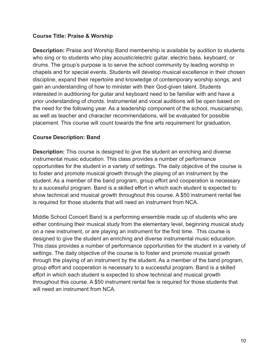## **Course Title: Praise & Worship**

**Description:** Praise and Worship Band membership is available by audition to students who sing or to students who play acoustic/electric guitar, electric bass, keyboard, or drums. The group's purpose is to serve the school community by leading worship in chapels and for special events. Students will develop musical excellence in their chosen discipline, expand their repertoire and knowledge of contemporary worship songs, and gain an understanding of how to minister with their God-given talent. Students interested in auditioning for guitar and keyboard need to be familiar with and have a prior understanding of chords. Instrumental and vocal auditions will be open based on the need for the following year. As a leadership component of the school, musicianship, as well as teacher and character recommendations, will be evaluated for possible placement. This course will count towards the fine arts requirement for graduation.

## **Course Description: Band**

**Description:** This course is designed to give the student an enriching and diverse instrumental music education. This class provides a number of performance opportunities for the student in a variety of settings. The daily objective of the course is to foster and promote musical growth through the playing of an instrument by the student. As a member of the band program, group effort and cooperation is necessary to a successful program. Band is a skilled effort in which each student is expected to show technical and musical growth throughout this course. A \$50 instrument rental fee is required for those students that will need an instrument from NCA.

Middle School Concert Band is a performing ensemble made up of students who are either continuing their musical study from the elementary level, beginning musical study on a new instrument, or are playing an instrument for the first time. This course is designed to give the student an enriching and diverse instrumental music education. This class provides a number of performance opportunities for the student in a variety of settings. The daily objective of the course is to foster and promote musical growth through the playing of an instrument by the student. As a member of the band program, group effort and cooperation is necessary to a successful program. Band is a skilled effort in which each student is expected to show technical and musical growth throughout this course. A \$50 instrument rental fee is required for those students that will need an instrument from NCA.